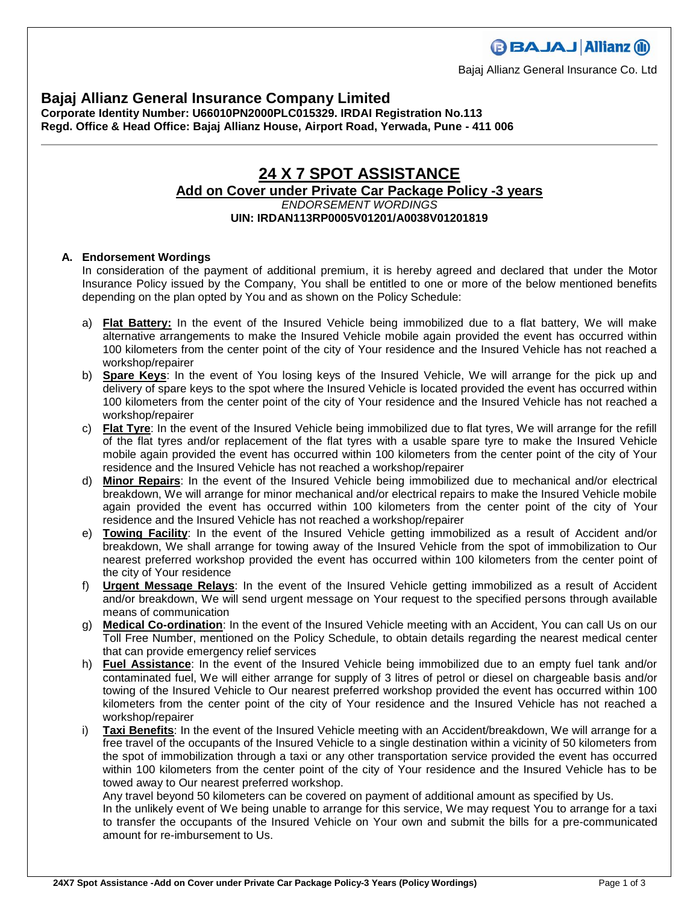## **Bajaj Allianz General Insurance Company Limited**

**Corporate Identity Number: U66010PN2000PLC015329. IRDAI Registration No.113 Regd. Office & Head Office: Bajaj Allianz House, Airport Road, Yerwada, Pune - 411 006**

## **24 X 7 SPOT ASSISTANCE Add on Cover under Private Car Package Policy -3 years** *ENDORSEMENT WORDINGS* **UIN: IRDAN113RP0005V01201/A0038V01201819**

#### **A. Endorsement Wordings**

In consideration of the payment of additional premium, it is hereby agreed and declared that under the Motor Insurance Policy issued by the Company, You shall be entitled to one or more of the below mentioned benefits depending on the plan opted by You and as shown on the Policy Schedule:

- a) **Flat Battery:** In the event of the Insured Vehicle being immobilized due to a flat battery, We will make alternative arrangements to make the Insured Vehicle mobile again provided the event has occurred within 100 kilometers from the center point of the city of Your residence and the Insured Vehicle has not reached a workshop/repairer
- b) **Spare Keys**: In the event of You losing keys of the Insured Vehicle, We will arrange for the pick up and delivery of spare keys to the spot where the Insured Vehicle is located provided the event has occurred within 100 kilometers from the center point of the city of Your residence and the Insured Vehicle has not reached a workshop/repairer
- c) **Flat Tyre**: In the event of the Insured Vehicle being immobilized due to flat tyres, We will arrange for the refill of the flat tyres and/or replacement of the flat tyres with a usable spare tyre to make the Insured Vehicle mobile again provided the event has occurred within 100 kilometers from the center point of the city of Your residence and the Insured Vehicle has not reached a workshop/repairer
- d) **Minor Repairs**: In the event of the Insured Vehicle being immobilized due to mechanical and/or electrical breakdown, We will arrange for minor mechanical and/or electrical repairs to make the Insured Vehicle mobile again provided the event has occurred within 100 kilometers from the center point of the city of Your residence and the Insured Vehicle has not reached a workshop/repairer
- e) **Towing Facility**: In the event of the Insured Vehicle getting immobilized as a result of Accident and/or breakdown, We shall arrange for towing away of the Insured Vehicle from the spot of immobilization to Our nearest preferred workshop provided the event has occurred within 100 kilometers from the center point of the city of Your residence
- f) **Urgent Message Relays**: In the event of the Insured Vehicle getting immobilized as a result of Accident and/or breakdown, We will send urgent message on Your request to the specified persons through available means of communication
- g) **Medical Co-ordination**: In the event of the Insured Vehicle meeting with an Accident, You can call Us on our Toll Free Number, mentioned on the Policy Schedule, to obtain details regarding the nearest medical center that can provide emergency relief services
- h) **Fuel Assistance**: In the event of the Insured Vehicle being immobilized due to an empty fuel tank and/or contaminated fuel, We will either arrange for supply of 3 litres of petrol or diesel on chargeable basis and/or towing of the Insured Vehicle to Our nearest preferred workshop provided the event has occurred within 100 kilometers from the center point of the city of Your residence and the Insured Vehicle has not reached a workshop/repairer
- i) **Taxi Benefits**: In the event of the Insured Vehicle meeting with an Accident/breakdown, We will arrange for a free travel of the occupants of the Insured Vehicle to a single destination within a vicinity of 50 kilometers from the spot of immobilization through a taxi or any other transportation service provided the event has occurred within 100 kilometers from the center point of the city of Your residence and the Insured Vehicle has to be towed away to Our nearest preferred workshop.

Any travel beyond 50 kilometers can be covered on payment of additional amount as specified by Us.

In the unlikely event of We being unable to arrange for this service, We may request You to arrange for a taxi to transfer the occupants of the Insured Vehicle on Your own and submit the bills for a pre-communicated amount for re-imbursement to Us.

Bajaj Allianz General Insurance Co. Ltd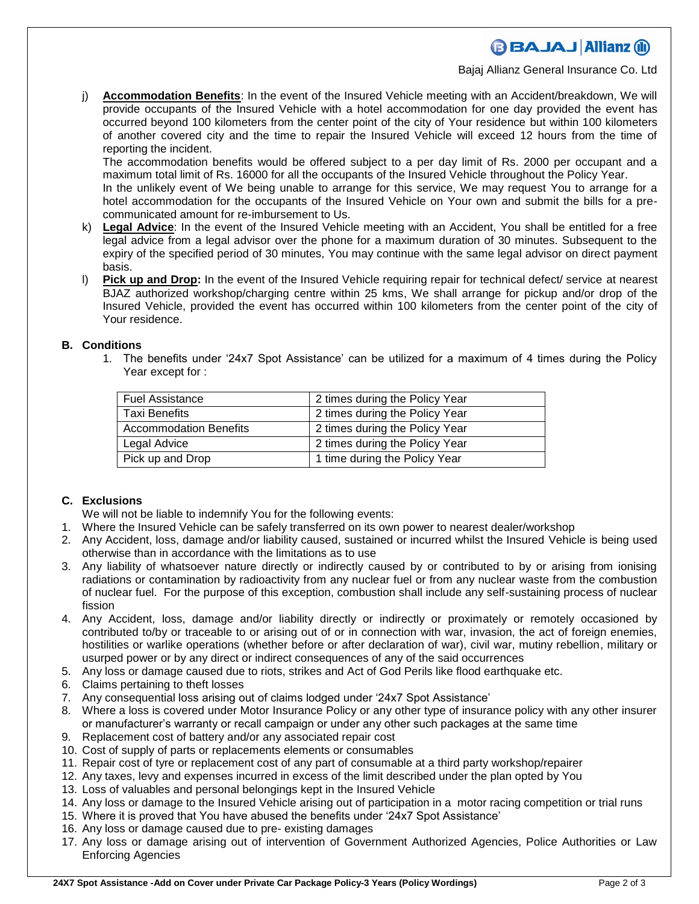Bajaj Allianz General Insurance Co. Ltd

j) **Accommodation Benefits**: In the event of the Insured Vehicle meeting with an Accident/breakdown, We will provide occupants of the Insured Vehicle with a hotel accommodation for one day provided the event has occurred beyond 100 kilometers from the center point of the city of Your residence but within 100 kilometers of another covered city and the time to repair the Insured Vehicle will exceed 12 hours from the time of reporting the incident.

The accommodation benefits would be offered subject to a per day limit of Rs. 2000 per occupant and a maximum total limit of Rs. 16000 for all the occupants of the Insured Vehicle throughout the Policy Year.

In the unlikely event of We being unable to arrange for this service, We may request You to arrange for a hotel accommodation for the occupants of the Insured Vehicle on Your own and submit the bills for a precommunicated amount for re-imbursement to Us.

- k) **Legal Advice**: In the event of the Insured Vehicle meeting with an Accident, You shall be entitled for a free legal advice from a legal advisor over the phone for a maximum duration of 30 minutes. Subsequent to the expiry of the specified period of 30 minutes, You may continue with the same legal advisor on direct payment basis.
- l) **Pick up and Drop:** In the event of the Insured Vehicle requiring repair for technical defect/ service at nearest BJAZ authorized workshop/charging centre within 25 kms, We shall arrange for pickup and/or drop of the Insured Vehicle, provided the event has occurred within 100 kilometers from the center point of the city of Your residence.

### **B. Conditions**

1. The benefits under '24x7 Spot Assistance' can be utilized for a maximum of 4 times during the Policy Year except for :

| <b>Fuel Assistance</b>        | 2 times during the Policy Year |
|-------------------------------|--------------------------------|
| Taxi Benefits                 | 2 times during the Policy Year |
| <b>Accommodation Benefits</b> | 2 times during the Policy Year |
| Legal Advice                  | 2 times during the Policy Year |
| Pick up and Drop              | 1 time during the Policy Year  |

## **C. Exclusions**

We will not be liable to indemnify You for the following events:

- 1. Where the Insured Vehicle can be safely transferred on its own power to nearest dealer/workshop
- 2. Any Accident, loss, damage and/or liability caused, sustained or incurred whilst the Insured Vehicle is being used otherwise than in accordance with the limitations as to use
- 3. Any liability of whatsoever nature directly or indirectly caused by or contributed to by or arising from ionising radiations or contamination by radioactivity from any nuclear fuel or from any nuclear waste from the combustion of nuclear fuel. For the purpose of this exception, combustion shall include any self-sustaining process of nuclear fission
- 4. Any Accident, loss, damage and/or liability directly or indirectly or proximately or remotely occasioned by contributed to/by or traceable to or arising out of or in connection with war, invasion, the act of foreign enemies, hostilities or warlike operations (whether before or after declaration of war), civil war, mutiny rebellion, military or usurped power or by any direct or indirect consequences of any of the said occurrences
- 5. Any loss or damage caused due to riots, strikes and Act of God Perils like flood earthquake etc.
- 6. Claims pertaining to theft losses
- 7. Any consequential loss arising out of claims lodged under '24x7 Spot Assistance'
- 8. Where a loss is covered under Motor Insurance Policy or any other type of insurance policy with any other insurer or manufacturer's warranty or recall campaign or under any other such packages at the same time
- 9. Replacement cost of battery and/or any associated repair cost
- 10. Cost of supply of parts or replacements elements or consumables
- 11. Repair cost of tyre or replacement cost of any part of consumable at a third party workshop/repairer
- 12. Any taxes, levy and expenses incurred in excess of the limit described under the plan opted by You
- 13. Loss of valuables and personal belongings kept in the Insured Vehicle
- 14. Any loss or damage to the Insured Vehicle arising out of participation in a motor racing competition or trial runs
- 15. Where it is proved that You have abused the benefits under '24x7 Spot Assistance'
- 16. Any loss or damage caused due to pre- existing damages
- 17. Any loss or damage arising out of intervention of Government Authorized Agencies, Police Authorities or Law Enforcing Agencies